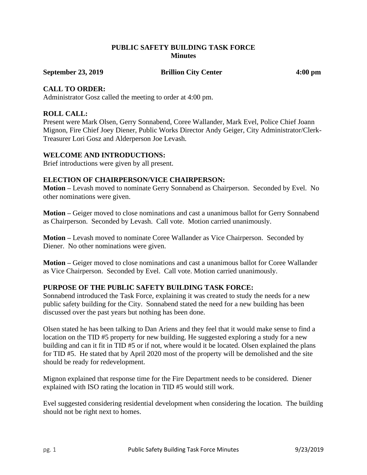## **PUBLIC SAFETY BUILDING TASK FORCE Minutes**

**September 23, 2019 Brillion City Center 4:00 pm**

#### **CALL TO ORDER:**

Administrator Gosz called the meeting to order at 4:00 pm.

## **ROLL CALL:**

Present were Mark Olsen, Gerry Sonnabend, Coree Wallander, Mark Evel, Police Chief Joann Mignon, Fire Chief Joey Diener, Public Works Director Andy Geiger, City Administrator/Clerk-Treasurer Lori Gosz and Alderperson Joe Levash.

### **WELCOME AND INTRODUCTIONS:**

Brief introductions were given by all present.

## **ELECTION OF CHAIRPERSON/VICE CHAIRPERSON:**

**Motion –** Levash moved to nominate Gerry Sonnabend as Chairperson. Seconded by Evel. No other nominations were given.

**Motion –** Geiger moved to close nominations and cast a unanimous ballot for Gerry Sonnabend as Chairperson. Seconded by Levash. Call vote. Motion carried unanimously.

**Motion –** Levash moved to nominate Coree Wallander as Vice Chairperson. Seconded by Diener. No other nominations were given.

**Motion –** Geiger moved to close nominations and cast a unanimous ballot for Coree Wallander as Vice Chairperson. Seconded by Evel. Call vote. Motion carried unanimously.

### **PURPOSE OF THE PUBLIC SAFETY BUILDING TASK FORCE:**

Sonnabend introduced the Task Force, explaining it was created to study the needs for a new public safety building for the City. Sonnabend stated the need for a new building has been discussed over the past years but nothing has been done.

Olsen stated he has been talking to Dan Ariens and they feel that it would make sense to find a location on the TID #5 property for new building. He suggested exploring a study for a new building and can it fit in TID #5 or if not, where would it be located. Olsen explained the plans for TID #5. He stated that by April 2020 most of the property will be demolished and the site should be ready for redevelopment.

Mignon explained that response time for the Fire Department needs to be considered. Diener explained with ISO rating the location in TID #5 would still work.

Evel suggested considering residential development when considering the location. The building should not be right next to homes.